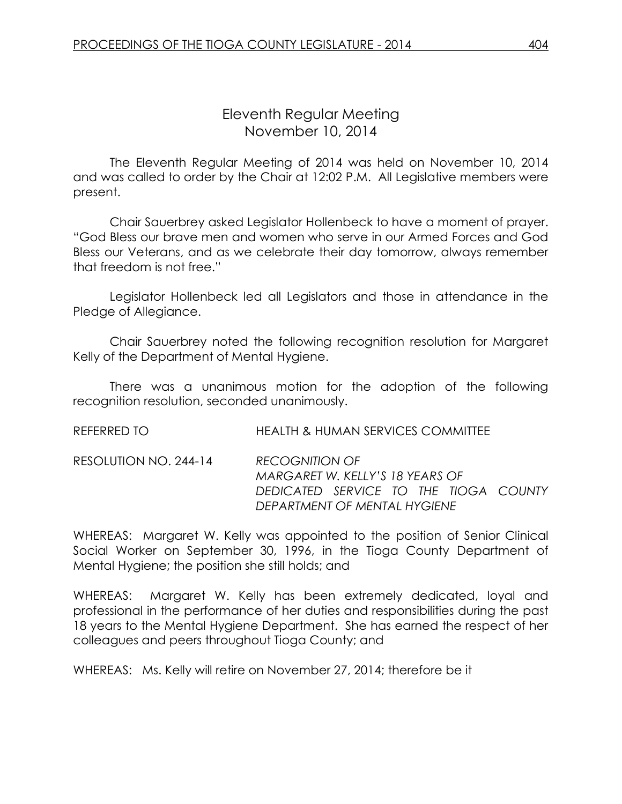# Eleventh Regular Meeting November 10, 2014

The Eleventh Regular Meeting of 2014 was held on November 10, 2014 and was called to order by the Chair at 12:02 P.M. All Legislative members were present.

Chair Sauerbrey asked Legislator Hollenbeck to have a moment of prayer. "God Bless our brave men and women who serve in our Armed Forces and God Bless our Veterans, and as we celebrate their day tomorrow, always remember that freedom is not free."

Legislator Hollenbeck led all Legislators and those in attendance in the Pledge of Allegiance.

Chair Sauerbrey noted the following recognition resolution for Margaret Kelly of the Department of Mental Hygiene.

There was a unanimous motion for the adoption of the following recognition resolution, seconded unanimously.

| REFERRED TO | <b>HEALTH &amp; HUMAN SERVICES COMMITTEE</b> |
|-------------|----------------------------------------------|
|             |                                              |

RESOLUTION NO. 244-14 *RECOGNITION OF MARGARET W. KELLY'S 18 YEARS OF DEDICATED SERVICE TO THE TIOGA COUNTY DEPARTMENT OF MENTAL HYGIENE*

WHEREAS: Margaret W. Kelly was appointed to the position of Senior Clinical Social Worker on September 30, 1996, in the Tioga County Department of Mental Hygiene; the position she still holds; and

WHEREAS: Margaret W. Kelly has been extremely dedicated, loyal and professional in the performance of her duties and responsibilities during the past 18 years to the Mental Hygiene Department. She has earned the respect of her colleagues and peers throughout Tioga County; and

WHEREAS: Ms. Kelly will retire on November 27, 2014; therefore be it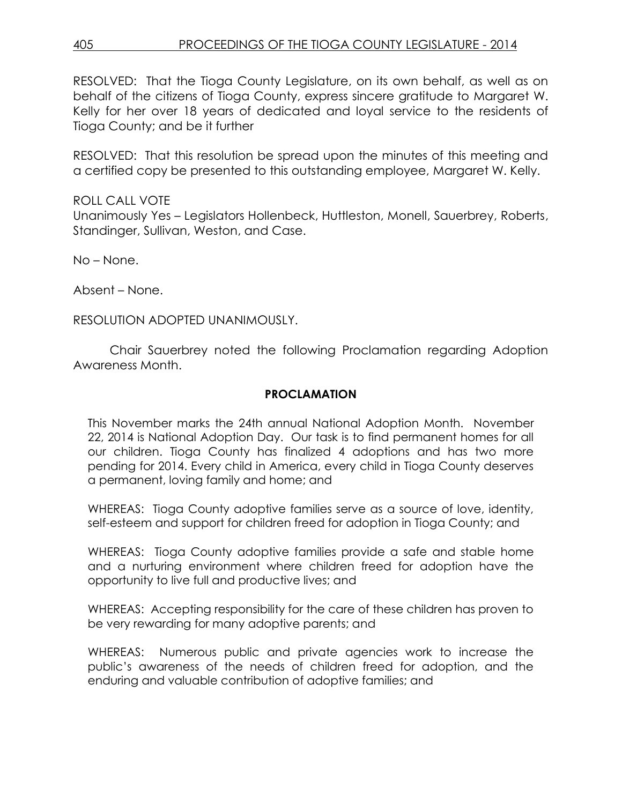RESOLVED: That the Tioga County Legislature, on its own behalf, as well as on behalf of the citizens of Tioga County, express sincere gratitude to Margaret W. Kelly for her over 18 years of dedicated and loyal service to the residents of Tioga County; and be it further

RESOLVED: That this resolution be spread upon the minutes of this meeting and a certified copy be presented to this outstanding employee, Margaret W. Kelly.

ROLL CALL VOTE Unanimously Yes – Legislators Hollenbeck, Huttleston, Monell, Sauerbrey, Roberts, Standinger, Sullivan, Weston, and Case.

No – None.

Absent – None.

RESOLUTION ADOPTED UNANIMOUSLY.

Chair Sauerbrey noted the following Proclamation regarding Adoption Awareness Month.

#### **PROCLAMATION**

This November marks the 24th annual National Adoption Month. November 22, 2014 is National Adoption Day. Our task is to find permanent homes for all our children. Tioga County has finalized 4 adoptions and has two more pending for 2014. Every child in America, every child in Tioga County deserves a permanent, loving family and home; and

WHEREAS: Tioga County adoptive families serve as a source of love, identity, self-esteem and support for children freed for adoption in Tioga County; and

WHEREAS: Tioga County adoptive families provide a safe and stable home and a nurturing environment where children freed for adoption have the opportunity to live full and productive lives; and

WHEREAS: Accepting responsibility for the care of these children has proven to be very rewarding for many adoptive parents; and

WHEREAS: Numerous public and private agencies work to increase the public's awareness of the needs of children freed for adoption, and the enduring and valuable contribution of adoptive families; and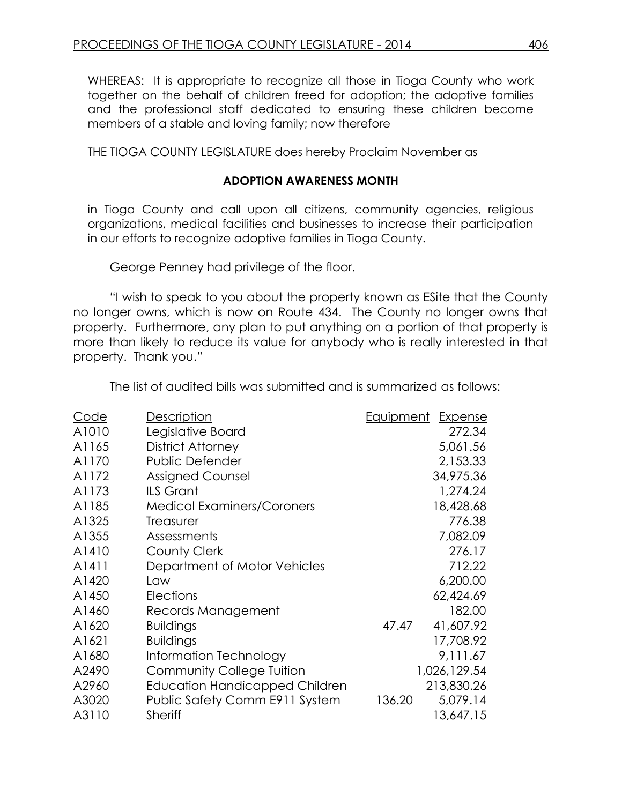WHEREAS: It is appropriate to recognize all those in Tioga County who work together on the behalf of children freed for adoption; the adoptive families and the professional staff dedicated to ensuring these children become members of a stable and loving family; now therefore

THE TIOGA COUNTY LEGISLATURE does hereby Proclaim November as

#### **ADOPTION AWARENESS MONTH**

in Tioga County and call upon all citizens, community agencies, religious organizations, medical facilities and businesses to increase their participation in our efforts to recognize adoptive families in Tioga County.

George Penney had privilege of the floor.

"I wish to speak to you about the property known as ESite that the County no longer owns, which is now on Route 434. The County no longer owns that property. Furthermore, any plan to put anything on a portion of that property is more than likely to reduce its value for anybody who is really interested in that property. Thank you."

The list of audited bills was submitted and is summarized as follows:

| <u>Code</u> | <b>Description</b>                    | <u>Equipment</u><br><b>Expense</b> |
|-------------|---------------------------------------|------------------------------------|
| A1010       | Legislative Board                     | 272.34                             |
| A1165       | <b>District Attorney</b>              | 5,061.56                           |
| A1170       | <b>Public Defender</b>                | 2,153.33                           |
| A1172       | <b>Assigned Counsel</b>               | 34,975.36                          |
| A1173       | <b>ILS Grant</b>                      | 1,274.24                           |
| A1185       | <b>Medical Examiners/Coroners</b>     | 18,428.68                          |
| A1325       | Treasurer                             | 776.38                             |
| A1355       | Assessments                           | 7,082.09                           |
| A1410       | <b>County Clerk</b>                   | 276.17                             |
| A1411       | Department of Motor Vehicles          | 712.22                             |
| A1420       | Law                                   | 6,200.00                           |
| A1450       | Elections                             | 62,424.69                          |
| A1460       | Records Management                    | 182.00                             |
| A1620       | <b>Buildings</b>                      | 41,607.92<br>47.47                 |
| A1621       | <b>Buildings</b>                      | 17,708.92                          |
| A1680       | Information Technology                | 9,111.67                           |
| A2490       | Community College Tuition             | 1,026,129.54                       |
| A2960       | <b>Education Handicapped Children</b> | 213,830.26                         |
| A3020       | Public Safety Comm E911 System        | 5,079.14<br>136.20                 |
| A3110       | <b>Sheriff</b>                        | 13,647.15                          |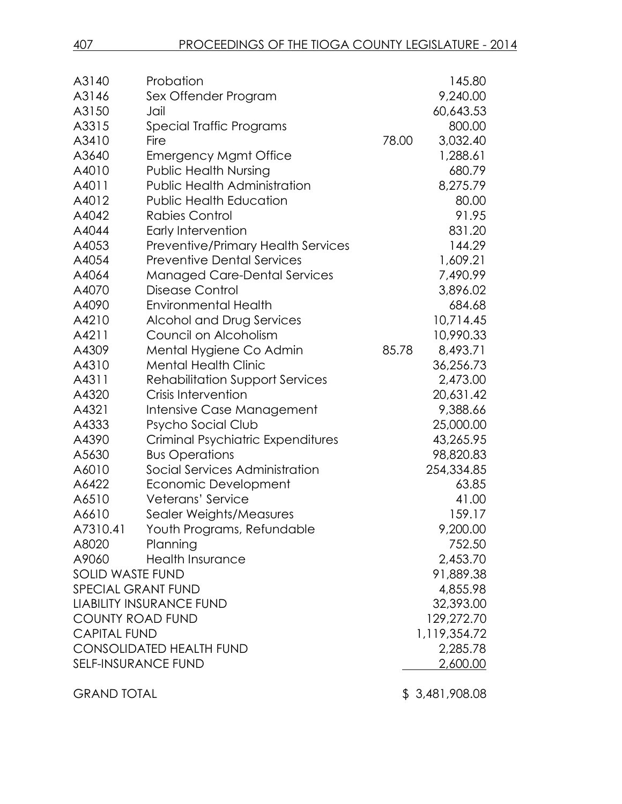| A3140<br>A3146<br>A3150   | Probation<br>Sex Offender Program<br>Jail |       | 145.80<br>9,240.00<br>60,643.53 |
|---------------------------|-------------------------------------------|-------|---------------------------------|
| A3315                     | Special Traffic Programs                  |       | 800.00                          |
| A3410                     | Fire                                      | 78.00 | 3,032.40                        |
| A3640                     | <b>Emergency Mgmt Office</b>              |       | 1,288.61                        |
| A4010                     | <b>Public Health Nursing</b>              |       | 680.79                          |
| A4011                     | <b>Public Health Administration</b>       |       | 8,275.79                        |
| A4012                     | <b>Public Health Education</b>            |       | 80.00                           |
| A4042                     | <b>Rabies Control</b>                     |       | 91.95                           |
| A4044                     | Early Intervention                        |       | 831.20                          |
| A4053                     | <b>Preventive/Primary Health Services</b> |       | 144.29                          |
| A4054                     | <b>Preventive Dental Services</b>         |       | 1,609.21                        |
| A4064                     | <b>Managed Care-Dental Services</b>       |       | 7,490.99                        |
| A4070                     | <b>Disease Control</b>                    |       | 3,896.02                        |
| A4090                     | <b>Environmental Health</b>               |       | 684.68                          |
| A4210                     | Alcohol and Drug Services                 |       | 10,714.45                       |
| A4211                     | Council on Alcoholism                     |       | 10,990.33                       |
| A4309                     | Mental Hygiene Co Admin                   | 85.78 | 8,493.71                        |
| A4310                     | <b>Mental Health Clinic</b>               |       | 36,256.73                       |
| A4311                     | <b>Rehabilitation Support Services</b>    |       | 2,473.00                        |
| A4320                     | Crisis Intervention                       |       | 20,631.42                       |
| A4321                     | Intensive Case Management                 |       | 9,388.66                        |
| A4333                     | Psycho Social Club                        |       | 25,000.00                       |
| A4390                     | Criminal Psychiatric Expenditures         |       | 43,265.95                       |
| A5630                     | <b>Bus Operations</b>                     |       | 98,820.83                       |
| A6010                     | Social Services Administration            |       | 254,334.85                      |
| A6422                     | Economic Development                      |       | 63.85                           |
| A6510                     | Veterans' Service                         |       | 41.00                           |
| A6610                     | Sealer Weights/Measures                   |       | 159.17                          |
| A7310.41                  | Youth Programs, Refundable                |       | 9,200.00                        |
| A8020                     | Planning                                  |       | 752.50                          |
| A9060                     | <b>Health Insurance</b>                   |       | 2,453.70                        |
| SOLID WASTE FUND          |                                           |       | 91,889.38                       |
| <b>SPECIAL GRANT FUND</b> |                                           |       | 4,855.98                        |
|                           | <b>LIABILITY INSURANCE FUND</b>           |       | 32,393.00                       |
| <b>COUNTY ROAD FUND</b>   |                                           |       | 129,272.70                      |
| <b>CAPITAL FUND</b>       |                                           |       | 1,119,354.72                    |
|                           | <b>CONSOLIDATED HEALTH FUND</b>           |       | 2,285.78                        |
| SELF-INSURANCE FUND       |                                           |       | 2,600.00                        |

GRAND TOTAL \$ 3,481,908.08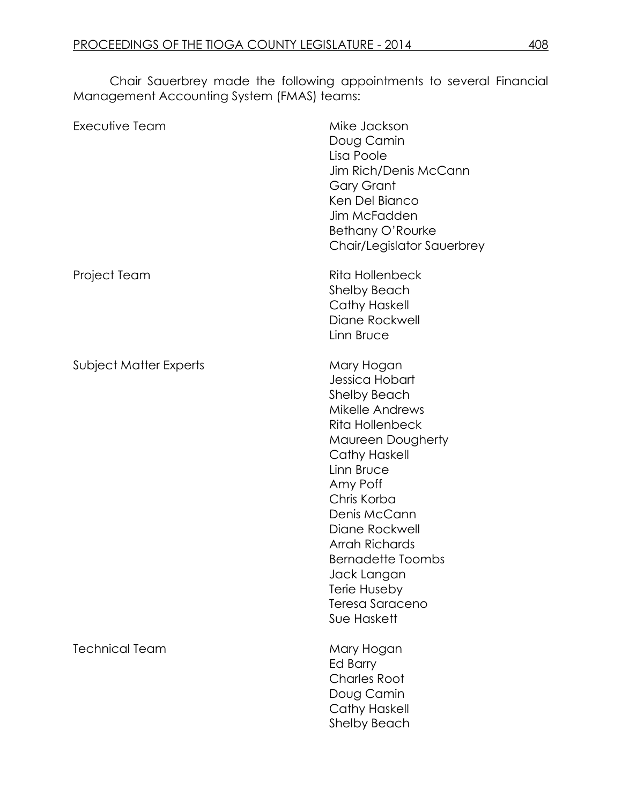Chair Sauerbrey made the following appointments to several Financial Management Accounting System (FMAS) teams:

| Executive Team         | Mike Jackson<br>Doug Camin<br>Lisa Poole<br>Jim Rich/Denis McCann<br><b>Gary Grant</b><br>Ken Del Bianco<br>Jim McFadden<br>Bethany O'Rourke<br>Chair/Legislator Sauerbrey                                                                                                                                                              |
|------------------------|-----------------------------------------------------------------------------------------------------------------------------------------------------------------------------------------------------------------------------------------------------------------------------------------------------------------------------------------|
| Project Team           | <b>Rita Hollenbeck</b><br><b>Shelby Beach</b><br><b>Cathy Haskell</b><br>Diane Rockwell<br>Linn Bruce                                                                                                                                                                                                                                   |
| Subject Matter Experts | Mary Hogan<br>Jessica Hobart<br><b>Shelby Beach</b><br>Mikelle Andrews<br><b>Rita Hollenbeck</b><br>Maureen Dougherty<br>Cathy Haskell<br>Linn Bruce<br>Amy Poff<br>Chris Korba<br>Denis McCann<br>Diane Rockwell<br><b>Arrah Richards</b><br><b>Bernadette Toombs</b><br>Jack Langan<br>Terie Huseby<br>Teresa Saraceno<br>Sue Haskett |
| <b>Technical Team</b>  | Mary Hogan<br>Ed Barry<br><b>Charles Root</b><br>Doug Camin<br><b>Cathy Haskell</b><br><b>Shelby Beach</b>                                                                                                                                                                                                                              |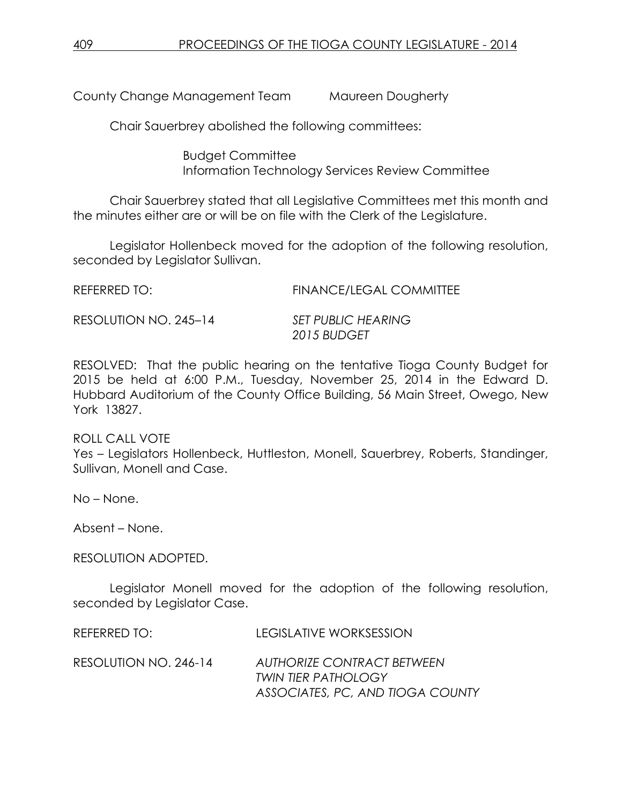County Change Management Team Maureen Dougherty

Chair Sauerbrey abolished the following committees:

Budget Committee Information Technology Services Review Committee

Chair Sauerbrey stated that all Legislative Committees met this month and the minutes either are or will be on file with the Clerk of the Legislature.

Legislator Hollenbeck moved for the adoption of the following resolution, seconded by Legislator Sullivan.

| REFERRED TO:          | <b>FINANCE/LEGAL COMMITTEE</b> |
|-----------------------|--------------------------------|
| RESOLUTION NO. 245-14 | SET PUBLIC HEARING             |

*2015 BUDGET*

RESOLVED: That the public hearing on the tentative Tioga County Budget for 2015 be held at 6:00 P.M., Tuesday, November 25, 2014 in the Edward D. Hubbard Auditorium of the County Office Building, 56 Main Street, Owego, New York 13827.

ROLL CALL VOTE Yes – Legislators Hollenbeck, Huttleston, Monell, Sauerbrey, Roberts, Standinger, Sullivan, Monell and Case.

No – None.

Absent – None.

RESOLUTION ADOPTED.

Legislator Monell moved for the adoption of the following resolution, seconded by Legislator Case.

REFERRED TO: LEGISLATIVE WORKSESSION RESOLUTION NO. 246-14 *AUTHORIZE CONTRACT BETWEEN TWIN TIER PATHOLOGY ASSOCIATES, PC, AND TIOGA COUNTY*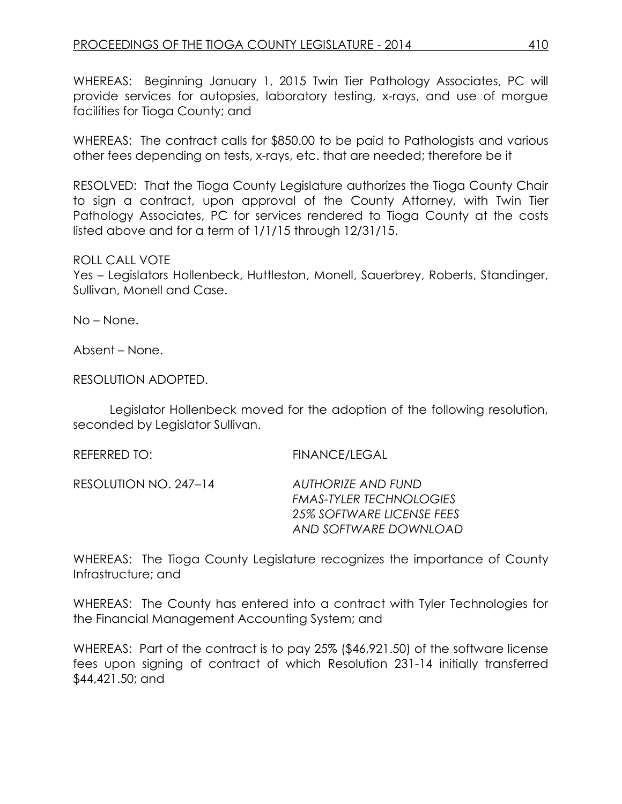WHEREAS: Beginning January 1, 2015 Twin Tier Pathology Associates, PC will provide services for autopsies, laboratory testing, x-rays, and use of morgue facilities for Tioga County; and

WHEREAS: The contract calls for \$850.00 to be paid to Pathologists and various other fees depending on tests, x-rays, etc. that are needed; therefore be it

RESOLVED: That the Tioga County Legislature authorizes the Tioga County Chair to sign a contract, upon approval of the County Attorney, with Twin Tier Pathology Associates, PC for services rendered to Tioga County at the costs listed above and for a term of 1/1/15 through 12/31/15.

## ROLL CALL VOTE

Yes – Legislators Hollenbeck, Huttleston, Monell, Sauerbrey, Roberts, Standinger, Sullivan, Monell and Case.

No – None.

Absent – None.

RESOLUTION ADOPTED.

Legislator Hollenbeck moved for the adoption of the following resolution, seconded by Legislator Sullivan.

REFERRED TO: FINANCE/LEGAL

RESOLUTION NO. 247–14 *AUTHORIZE AND FUND* 

*FMAS-TYLER TECHNOLOGIES 25% SOFTWARE LICENSE FEES AND SOFTWARE DOWNLOAD*

WHEREAS: The Tioga County Legislature recognizes the importance of County Infrastructure; and

WHEREAS: The County has entered into a contract with Tyler Technologies for the Financial Management Accounting System; and

WHEREAS: Part of the contract is to pay 25% (\$46,921.50) of the software license fees upon signing of contract of which Resolution 231-14 initially transferred \$44,421.50; and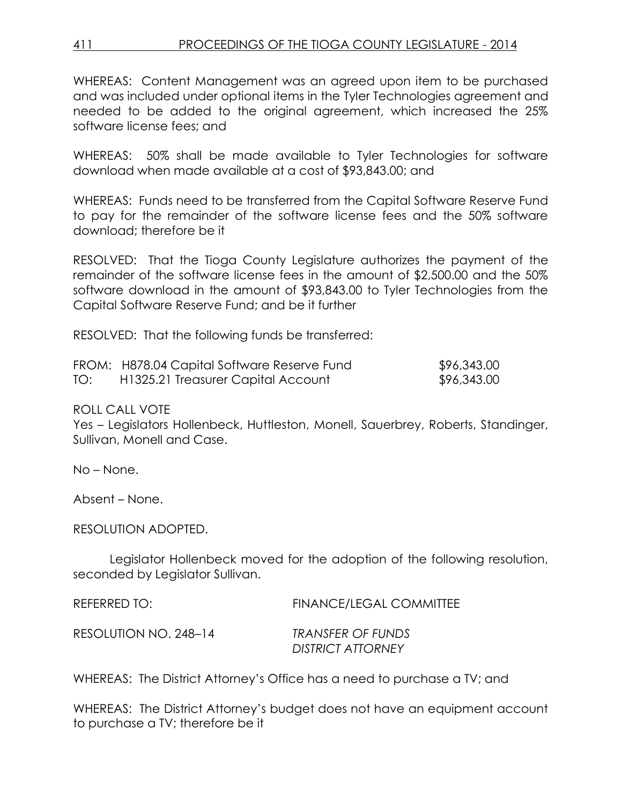## 411 PROCEEDINGS OF THE TIOGA COUNTY LEGISLATURE - 2014

WHEREAS: Content Management was an agreed upon item to be purchased and was included under optional items in the Tyler Technologies agreement and needed to be added to the original agreement, which increased the 25% software license fees; and

WHEREAS: 50% shall be made available to Tyler Technologies for software download when made available at a cost of \$93,843.00; and

WHEREAS: Funds need to be transferred from the Capital Software Reserve Fund to pay for the remainder of the software license fees and the 50% software download; therefore be it

RESOLVED: That the Tioga County Legislature authorizes the payment of the remainder of the software license fees in the amount of \$2,500.00 and the 50% software download in the amount of \$93,843.00 to Tyler Technologies from the Capital Software Reserve Fund; and be it further

RESOLVED: That the following funds be transferred:

|     | FROM: H878.04 Capital Software Reserve Fund | \$96,343.00 |
|-----|---------------------------------------------|-------------|
| TO: | H1325.21 Treasurer Capital Account          | \$96,343.00 |

#### ROLL CALL VOTE

Yes – Legislators Hollenbeck, Huttleston, Monell, Sauerbrey, Roberts, Standinger, Sullivan, Monell and Case.

No – None.

Absent – None.

RESOLUTION ADOPTED.

Legislator Hollenbeck moved for the adoption of the following resolution, seconded by Legislator Sullivan.

REFERRED TO: FINANCE/LEGAL COMMITTEE

RESOLUTION NO. 248–14 *TRANSFER OF FUNDS*

*DISTRICT ATTORNEY*

WHEREAS: The District Attorney's Office has a need to purchase a TV; and

WHEREAS: The District Attorney's budget does not have an equipment account to purchase a TV; therefore be it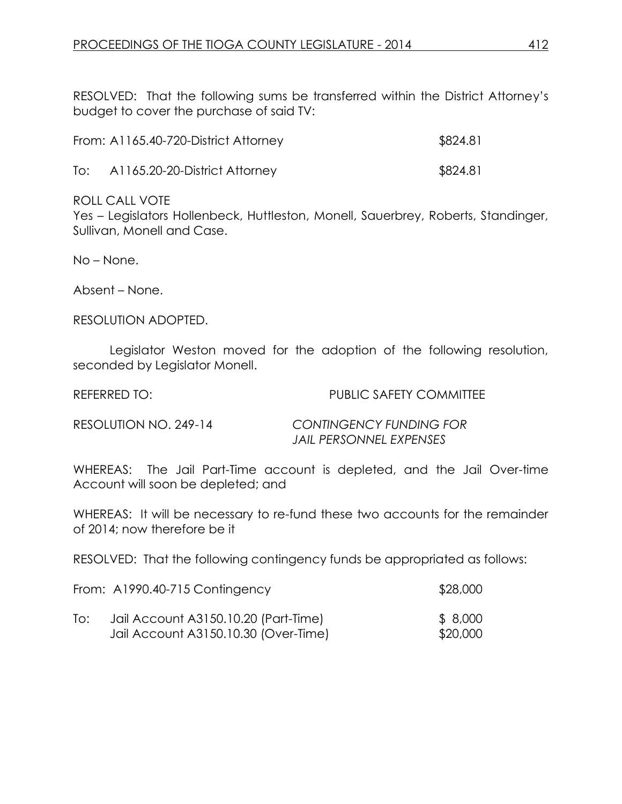RESOLVED: That the following sums be transferred within the District Attorney's budget to cover the purchase of said TV:

| From: A1165.40-720-District Attorney | \$824.81 |
|--------------------------------------|----------|
|                                      |          |

To: A1165.20-20-District Attorney \$824.81

## ROLL CALL VOTE

Yes – Legislators Hollenbeck, Huttleston, Monell, Sauerbrey, Roberts, Standinger, Sullivan, Monell and Case.

No – None.

Absent – None.

RESOLUTION ADOPTED.

Legislator Weston moved for the adoption of the following resolution, seconded by Legislator Monell.

#### REFERRED TO: THE PUBLIC SAFETY COMMITTEE

RESOLUTION NO. 249-14 *CONTINGENCY FUNDING FOR JAIL PERSONNEL EXPENSES* 

WHEREAS: The Jail Part-Time account is depleted, and the Jail Over-time Account will soon be depleted; and

WHEREAS: It will be necessary to re-fund these two accounts for the remainder of 2014; now therefore be it

RESOLVED: That the following contingency funds be appropriated as follows:

| \$28,000 |
|----------|
|          |

| To: | Jail Account A3150.10.20 (Part-Time) | \$ 8,000 |
|-----|--------------------------------------|----------|
|     | Jail Account A3150.10.30 (Over-Time) | \$20,000 |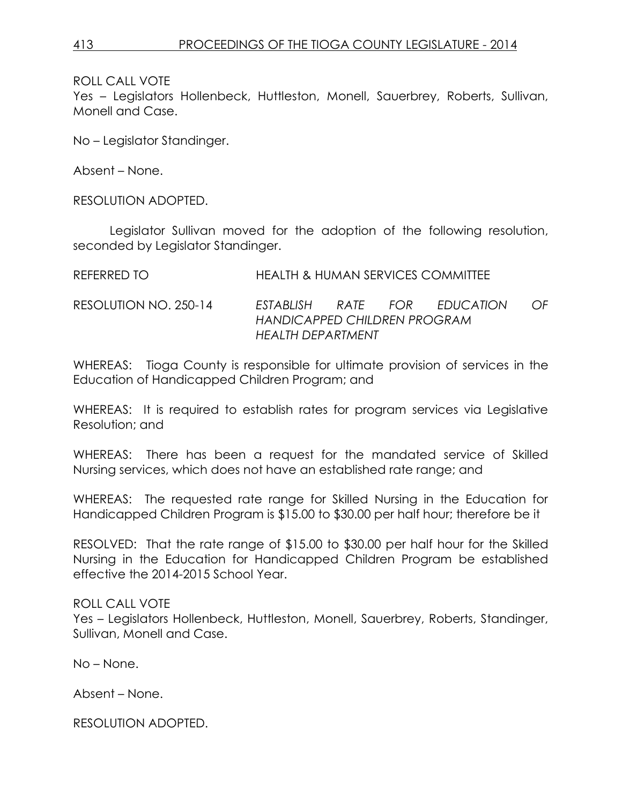Yes – Legislators Hollenbeck, Huttleston, Monell, Sauerbrey, Roberts, Sullivan, Monell and Case.

No – Legislator Standinger.

Absent – None.

RESOLUTION ADOPTED.

Legislator Sullivan moved for the adoption of the following resolution, seconded by Legislator Standinger.

REFERRED TO HEALTH & HUMAN SERVICES COMMITTEE

RESOLUTION NO. 250-14 *ESTABLISH RATE FOR EDUCATION OF HANDICAPPED CHILDREN PROGRAM HEALTH DEPARTMENT*

WHEREAS: Tioga County is responsible for ultimate provision of services in the Education of Handicapped Children Program; and

WHEREAS: It is required to establish rates for program services via Legislative Resolution; and

WHEREAS: There has been a request for the mandated service of Skilled Nursing services, which does not have an established rate range; and

WHEREAS: The requested rate range for Skilled Nursing in the Education for Handicapped Children Program is \$15.00 to \$30.00 per half hour; therefore be it

RESOLVED: That the rate range of \$15.00 to \$30.00 per half hour for the Skilled Nursing in the Education for Handicapped Children Program be established effective the 2014-2015 School Year.

#### ROLL CALL VOTE

Yes – Legislators Hollenbeck, Huttleston, Monell, Sauerbrey, Roberts, Standinger, Sullivan, Monell and Case.

No – None.

Absent – None.

RESOLUTION ADOPTED.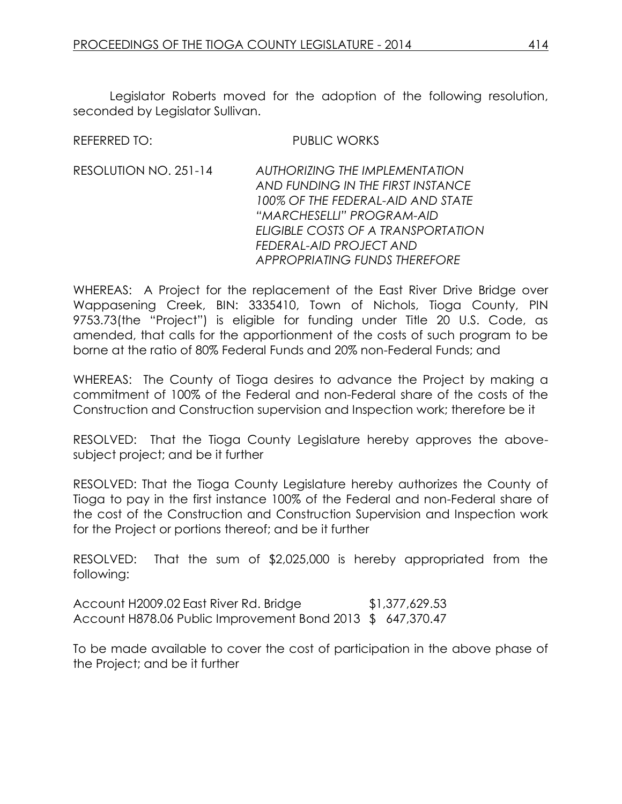Legislator Roberts moved for the adoption of the following resolution, seconded by Legislator Sullivan.

#### REFERRED TO: PUBLIC WORKS

RESOLUTION NO. 251-14 *AUTHORIZING THE IMPLEMENTATION AND FUNDING IN THE FIRST INSTANCE 100% OF THE FEDERAL-AID AND STATE "MARCHESELLI" PROGRAM-AID ELIGIBLE COSTS OF A TRANSPORTATION FEDERAL-AID PROJECT AND APPROPRIATING FUNDS THEREFORE*

WHEREAS: A Project for the replacement of the East River Drive Bridge over Wappasening Creek, BIN: 3335410, Town of Nichols, Tioga County, PIN 9753.73(the "Project") is eligible for funding under Title 20 U.S. Code, as amended, that calls for the apportionment of the costs of such program to be borne at the ratio of 80% Federal Funds and 20% non-Federal Funds; and

WHEREAS: The County of Tioga desires to advance the Project by making a commitment of 100% of the Federal and non-Federal share of the costs of the Construction and Construction supervision and Inspection work; therefore be it

RESOLVED: That the Tioga County Legislature hereby approves the abovesubject project; and be it further

RESOLVED: That the Tioga County Legislature hereby authorizes the County of Tioga to pay in the first instance 100% of the Federal and non-Federal share of the cost of the Construction and Construction Supervision and Inspection work for the Project or portions thereof; and be it further

RESOLVED: That the sum of \$2,025,000 is hereby appropriated from the following:

Account H2009.02 East River Rd. Bridge \$1,377,629.53 Account H878.06 Public Improvement Bond 2013 \$ 647,370.47

To be made available to cover the cost of participation in the above phase of the Project; and be it further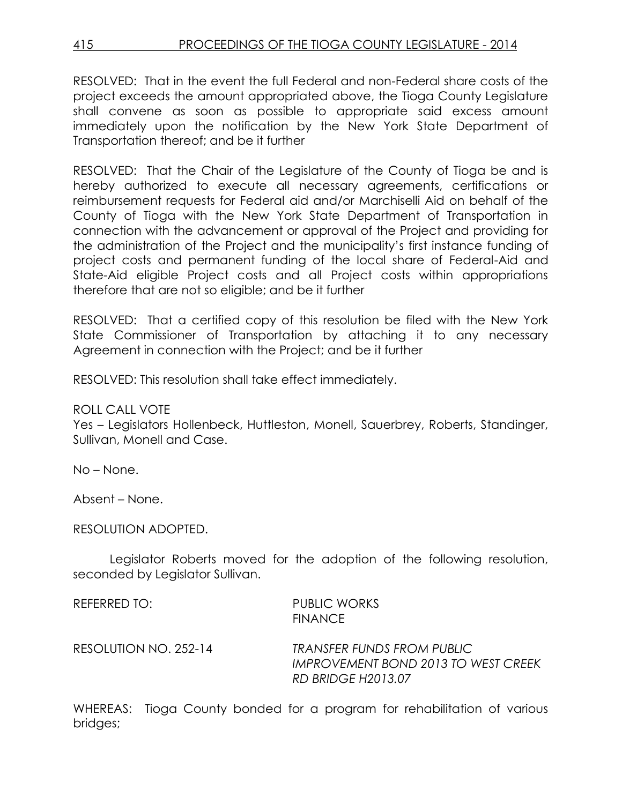RESOLVED: That in the event the full Federal and non-Federal share costs of the project exceeds the amount appropriated above, the Tioga County Legislature shall convene as soon as possible to appropriate said excess amount immediately upon the notification by the New York State Department of Transportation thereof; and be it further

RESOLVED: That the Chair of the Legislature of the County of Tioga be and is hereby authorized to execute all necessary agreements, certifications or reimbursement requests for Federal aid and/or Marchiselli Aid on behalf of the County of Tioga with the New York State Department of Transportation in connection with the advancement or approval of the Project and providing for the administration of the Project and the municipality's first instance funding of project costs and permanent funding of the local share of Federal-Aid and State-Aid eligible Project costs and all Project costs within appropriations therefore that are not so eligible; and be it further

RESOLVED: That a certified copy of this resolution be filed with the New York State Commissioner of Transportation by attaching it to any necessary Agreement in connection with the Project; and be it further

RESOLVED: This resolution shall take effect immediately.

ROLL CALL VOTE

Yes – Legislators Hollenbeck, Huttleston, Monell, Sauerbrey, Roberts, Standinger, Sullivan, Monell and Case.

No – None.

Absent – None.

RESOLUTION ADOPTED.

Legislator Roberts moved for the adoption of the following resolution, seconded by Legislator Sullivan.

| REFERRED TO:          | <b>PUBLIC WORKS</b><br><b>FINANCE</b>                                                                 |
|-----------------------|-------------------------------------------------------------------------------------------------------|
| RESOLUTION NO. 252-14 | <b>TRANSFER FUNDS FROM PUBLIC</b><br>IMPROVEMENT BOND 2013 TO WEST CREEK<br><b>RD BRIDGE H2013.07</b> |

WHEREAS: Tioga County bonded for a program for rehabilitation of various bridges;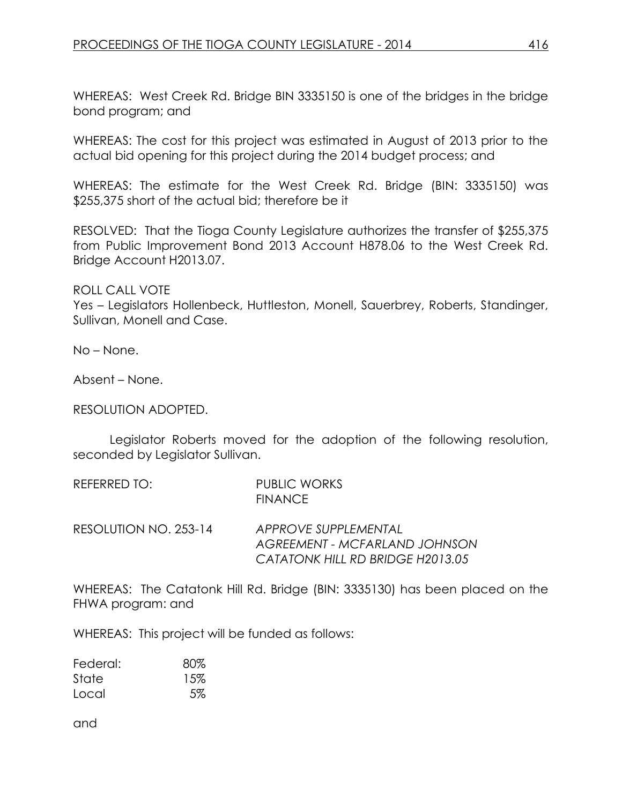WHEREAS: West Creek Rd. Bridge BIN 3335150 is one of the bridges in the bridge bond program; and

WHEREAS: The cost for this project was estimated in August of 2013 prior to the actual bid opening for this project during the 2014 budget process; and

WHEREAS: The estimate for the West Creek Rd. Bridge (BIN: 3335150) was \$255,375 short of the actual bid; therefore be it

RESOLVED: That the Tioga County Legislature authorizes the transfer of \$255,375 from Public Improvement Bond 2013 Account H878.06 to the West Creek Rd. Bridge Account H2013.07.

ROLL CALL VOTE

Yes – Legislators Hollenbeck, Huttleston, Monell, Sauerbrey, Roberts, Standinger, Sullivan, Monell and Case.

No – None.

Absent – None.

#### RESOLUTION ADOPTED.

Legislator Roberts moved for the adoption of the following resolution, seconded by Legislator Sullivan.

| REFERRED TO:          | PUBLIC WORKS<br><b>FINANCE</b> |
|-----------------------|--------------------------------|
| RESOLUTION NO. 253-14 | APPROVE SUPPLEMENTAL           |

*AGREEMENT - MCFARLAND JOHNSON CATATONK HILL RD BRIDGE H2013.05*

WHEREAS: The Catatonk Hill Rd. Bridge (BIN: 3335130) has been placed on the FHWA program: and

WHEREAS: This project will be funded as follows:

| Federal: | 80% |
|----------|-----|
| State    | 15% |
| Local    | 5%  |

and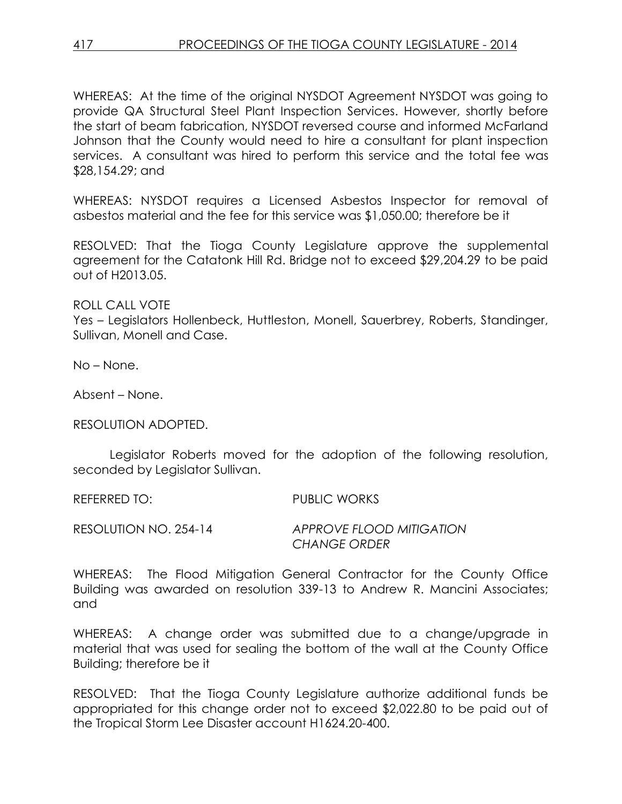WHEREAS: At the time of the original NYSDOT Agreement NYSDOT was going to provide QA Structural Steel Plant Inspection Services. However, shortly before the start of beam fabrication, NYSDOT reversed course and informed McFarland Johnson that the County would need to hire a consultant for plant inspection services. A consultant was hired to perform this service and the total fee was \$28,154.29; and

WHEREAS: NYSDOT requires a Licensed Asbestos Inspector for removal of asbestos material and the fee for this service was \$1,050.00; therefore be it

RESOLVED: That the Tioga County Legislature approve the supplemental agreement for the Catatonk Hill Rd. Bridge not to exceed \$29,204.29 to be paid out of H2013.05.

ROLL CALL VOTE

Yes – Legislators Hollenbeck, Huttleston, Monell, Sauerbrey, Roberts, Standinger, Sullivan, Monell and Case.

No – None.

Absent – None.

RESOLUTION ADOPTED.

Legislator Roberts moved for the adoption of the following resolution, seconded by Legislator Sullivan.

REFERRED TO: PUBLIC WORKS

RESOLUTION NO. 254-14 *APPROVE FLOOD MITIGATION CHANGE ORDER*

WHEREAS: The Flood Mitigation General Contractor for the County Office Building was awarded on resolution 339-13 to Andrew R. Mancini Associates; and

WHEREAS: A change order was submitted due to a change/upgrade in material that was used for sealing the bottom of the wall at the County Office Building; therefore be it

RESOLVED: That the Tioga County Legislature authorize additional funds be appropriated for this change order not to exceed \$2,022.80 to be paid out of the Tropical Storm Lee Disaster account H1624.20-400.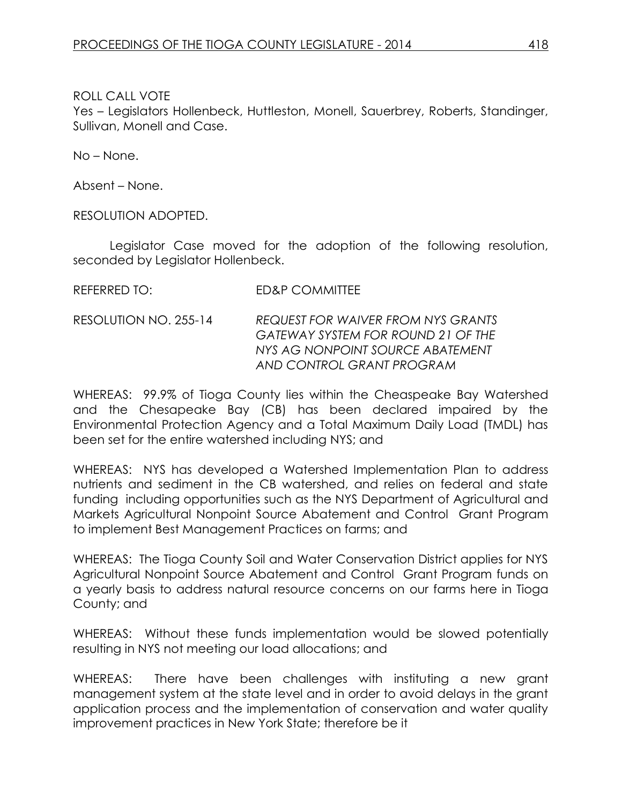Yes – Legislators Hollenbeck, Huttleston, Monell, Sauerbrey, Roberts, Standinger, Sullivan, Monell and Case.

No – None.

Absent – None.

RESOLUTION ADOPTED.

Legislator Case moved for the adoption of the following resolution, seconded by Legislator Hollenbeck.

| <b>ED&amp;P COMMITTEE</b> |
|---------------------------|
|                           |

RESOLUTION NO. 255-14 *REQUEST FOR WAIVER FROM NYS GRANTS GATEWAY SYSTEM FOR ROUND 21 OF THE NYS AG NONPOINT SOURCE ABATEMENT AND CONTROL GRANT PROGRAM*

WHEREAS: 99.9% of Tioga County lies within the Cheaspeake Bay Watershed and the Chesapeake Bay (CB) has been declared impaired by the Environmental Protection Agency and a Total Maximum Daily Load (TMDL) has been set for the entire watershed including NYS; and

WHEREAS: NYS has developed a Watershed Implementation Plan to address nutrients and sediment in the CB watershed, and relies on federal and state funding including opportunities such as the NYS Department of Agricultural and Markets Agricultural Nonpoint Source Abatement and Control Grant Program to implement Best Management Practices on farms; and

WHEREAS: The Tioga County Soil and Water Conservation District applies for NYS Agricultural Nonpoint Source Abatement and Control Grant Program funds on a yearly basis to address natural resource concerns on our farms here in Tioga County; and

WHEREAS: Without these funds implementation would be slowed potentially resulting in NYS not meeting our load allocations; and

WHEREAS: There have been challenges with instituting a new grant management system at the state level and in order to avoid delays in the grant application process and the implementation of conservation and water quality improvement practices in New York State; therefore be it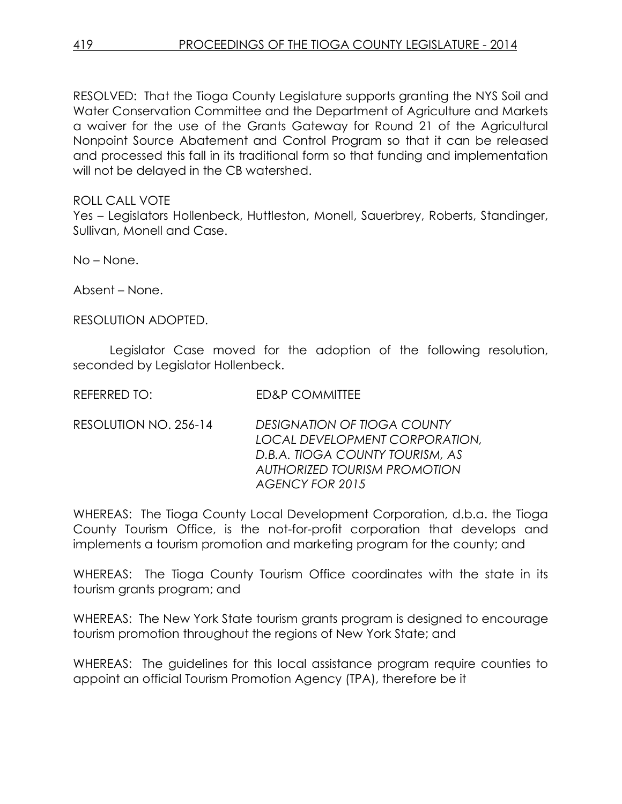RESOLVED: That the Tioga County Legislature supports granting the NYS Soil and Water Conservation Committee and the Department of Agriculture and Markets a waiver for the use of the Grants Gateway for Round 21 of the Agricultural Nonpoint Source Abatement and Control Program so that it can be released and processed this fall in its traditional form so that funding and implementation will not be delayed in the CB watershed.

ROLL CALL VOTE

Yes – Legislators Hollenbeck, Huttleston, Monell, Sauerbrey, Roberts, Standinger, Sullivan, Monell and Case.

No – None.

Absent – None.

RESOLUTION ADOPTED.

Legislator Case moved for the adoption of the following resolution, seconded by Legislator Hollenbeck.

REFERRED TO: ED&P COMMITTEE

RESOLUTION NO. 256-14 *DESIGNATION OF TIOGA COUNTY LOCAL DEVELOPMENT CORPORATION, D.B.A. TIOGA COUNTY TOURISM, AS AUTHORIZED TOURISM PROMOTION AGENCY FOR 2015*

WHEREAS: The Tioga County Local Development Corporation, d.b.a. the Tioga County Tourism Office, is the not-for-profit corporation that develops and implements a tourism promotion and marketing program for the county; and

WHEREAS: The Tioga County Tourism Office coordinates with the state in its tourism grants program; and

WHEREAS: The New York State tourism grants program is designed to encourage tourism promotion throughout the regions of New York State; and

WHEREAS: The guidelines for this local assistance program require counties to appoint an official Tourism Promotion Agency (TPA), therefore be it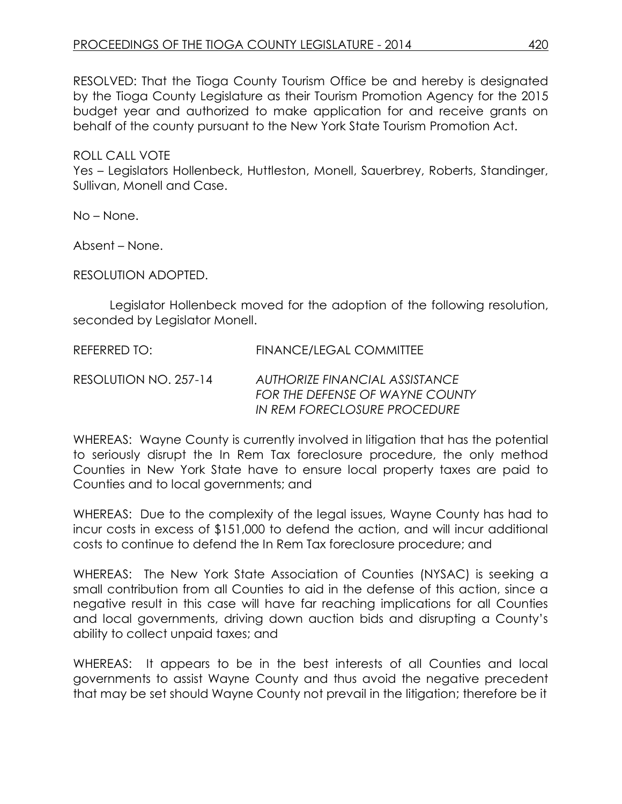RESOLVED: That the Tioga County Tourism Office be and hereby is designated by the Tioga County Legislature as their Tourism Promotion Agency for the 2015 budget year and authorized to make application for and receive grants on behalf of the county pursuant to the New York State Tourism Promotion Act.

ROLL CALL VOTE

Yes – Legislators Hollenbeck, Huttleston, Monell, Sauerbrey, Roberts, Standinger, Sullivan, Monell and Case.

No – None.

Absent – None.

RESOLUTION ADOPTED.

Legislator Hollenbeck moved for the adoption of the following resolution, seconded by Legislator Monell.

REFERRED TO: FINANCE/LEGAL COMMITTEE RESOLUTION NO. 257-14 *AUTHORIZE FINANCIAL ASSISTANCE FOR THE DEFENSE OF WAYNE COUNTY IN REM FORECLOSURE PROCEDURE* 

WHEREAS: Wayne County is currently involved in litigation that has the potential to seriously disrupt the In Rem Tax foreclosure procedure, the only method Counties in New York State have to ensure local property taxes are paid to Counties and to local governments; and

WHEREAS: Due to the complexity of the legal issues, Wayne County has had to incur costs in excess of \$151,000 to defend the action, and will incur additional costs to continue to defend the In Rem Tax foreclosure procedure; and

WHEREAS: The New York State Association of Counties (NYSAC) is seeking a small contribution from all Counties to aid in the defense of this action, since a negative result in this case will have far reaching implications for all Counties and local governments, driving down auction bids and disrupting a County's ability to collect unpaid taxes; and

WHEREAS: It appears to be in the best interests of all Counties and local governments to assist Wayne County and thus avoid the negative precedent that may be set should Wayne County not prevail in the litigation; therefore be it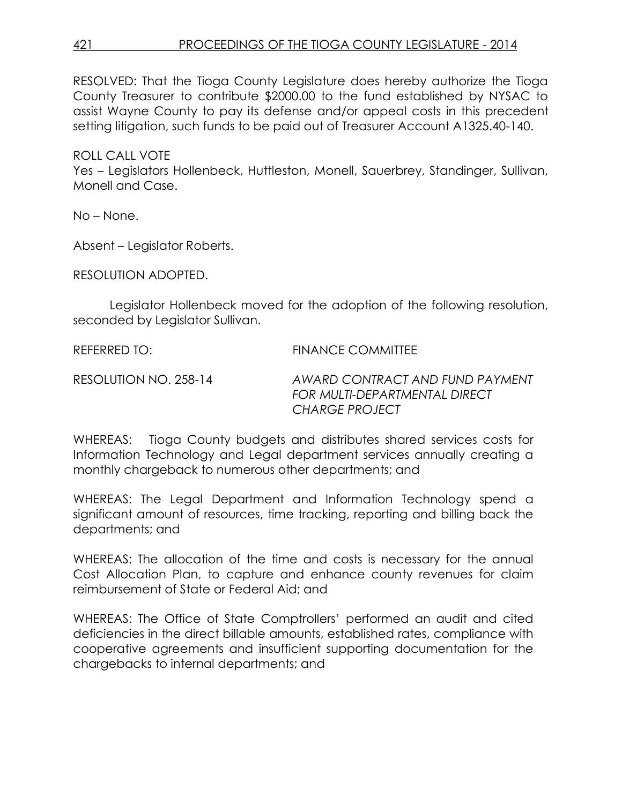RESOLVED: That the Tioga County Legislature does hereby authorize the Tioga County Treasurer to contribute \$2000.00 to the fund established by NYSAC to assist Wayne County to pay its defense and/or appeal costs in this precedent setting litigation, such funds to be paid out of Treasurer Account A1325.40-140.

ROLL CALL VOTE Yes – Legislators Hollenbeck, Huttleston, Monell, Sauerbrey, Standinger, Sullivan, Monell and Case.

No – None.

Absent – Legislator Roberts.

RESOLUTION ADOPTED.

Legislator Hollenbeck moved for the adoption of the following resolution, seconded by Legislator Sullivan.

REFERRED TO: FINANCE COMMITTEE

RESOLUTION NO. 258-14 *AWARD CONTRACT AND FUND PAYMENT FOR MULTI-DEPARTMENTAL DIRECT CHARGE PROJECT*

WHEREAS: Tioga County budgets and distributes shared services costs for Information Technology and Legal department services annually creating a monthly chargeback to numerous other departments; and

WHEREAS: The Legal Department and Information Technology spend a significant amount of resources, time tracking, reporting and billing back the departments; and

WHEREAS: The allocation of the time and costs is necessary for the annual Cost Allocation Plan, to capture and enhance county revenues for claim reimbursement of State or Federal Aid; and

WHEREAS: The Office of State Comptrollers' performed an audit and cited deficiencies in the direct billable amounts, established rates, compliance with cooperative agreements and insufficient supporting documentation for the chargebacks to internal departments; and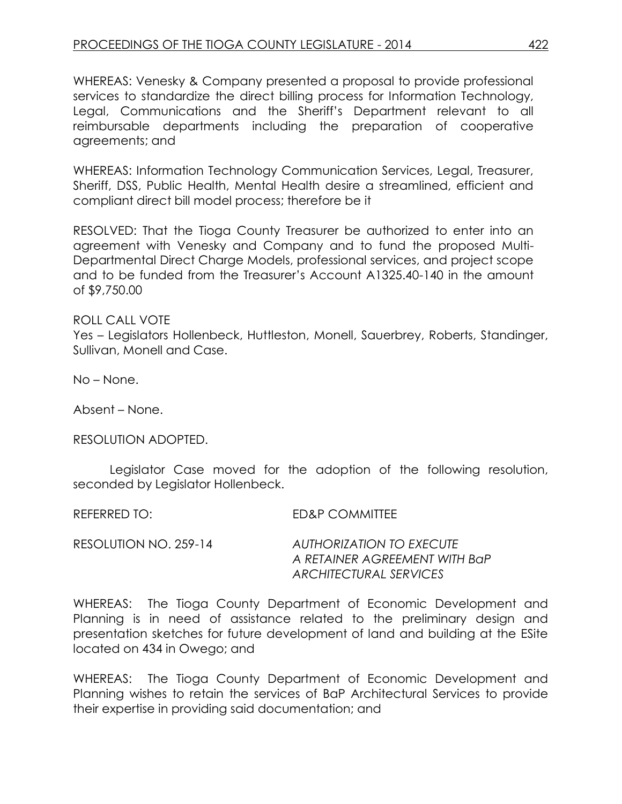WHEREAS: Venesky & Company presented a proposal to provide professional services to standardize the direct billing process for Information Technology, Legal, Communications and the Sheriff's Department relevant to all reimbursable departments including the preparation of cooperative agreements; and

WHEREAS: Information Technology Communication Services, Legal, Treasurer, Sheriff, DSS, Public Health, Mental Health desire a streamlined, efficient and compliant direct bill model process; therefore be it

RESOLVED: That the Tioga County Treasurer be authorized to enter into an agreement with Venesky and Company and to fund the proposed Multi-Departmental Direct Charge Models, professional services, and project scope and to be funded from the Treasurer's Account A1325.40-140 in the amount of \$9,750.00

## ROLL CALL VOTE

Yes – Legislators Hollenbeck, Huttleston, Monell, Sauerbrey, Roberts, Standinger, Sullivan, Monell and Case.

No – None.

Absent – None.

RESOLUTION ADOPTED.

Legislator Case moved for the adoption of the following resolution, seconded by Legislator Hollenbeck.

REFERRED TO: ED&P COMMITTEE

| RESOLUTION NO. 259-14 | AUTHORIZATION TO EXECUTE      |
|-----------------------|-------------------------------|
|                       | A RETAINER AGREEMENT WITH BaP |
|                       | ARCHITECTURAL SERVICES        |

WHEREAS: The Tioga County Department of Economic Development and Planning is in need of assistance related to the preliminary design and presentation sketches for future development of land and building at the ESite located on 434 in Owego; and

WHEREAS: The Tioga County Department of Economic Development and Planning wishes to retain the services of BaP Architectural Services to provide their expertise in providing said documentation; and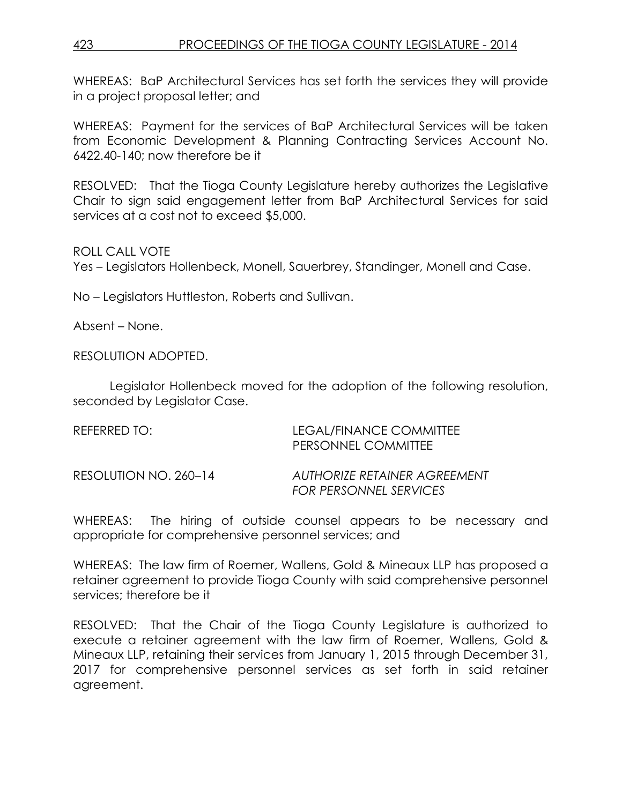WHEREAS: BaP Architectural Services has set forth the services they will provide in a project proposal letter; and

WHEREAS: Payment for the services of BaP Architectural Services will be taken from Economic Development & Planning Contracting Services Account No. 6422.40-140; now therefore be it

RESOLVED: That the Tioga County Legislature hereby authorizes the Legislative Chair to sign said engagement letter from BaP Architectural Services for said services at a cost not to exceed \$5,000.

ROLL CALL VOTE

Yes – Legislators Hollenbeck, Monell, Sauerbrey, Standinger, Monell and Case.

No – Legislators Huttleston, Roberts and Sullivan.

Absent – None.

RESOLUTION ADOPTED.

Legislator Hollenbeck moved for the adoption of the following resolution, seconded by Legislator Case.

| REFERRED TO:          | LEGAL/FINANCE COMMITTEE<br>PERSONNEL COMMITTEE                |
|-----------------------|---------------------------------------------------------------|
| RESOLUTION NO. 260-14 | AUTHORIZE RETAINER AGREEMENT<br><b>FOR PERSONNEL SERVICES</b> |

WHEREAS: The hiring of outside counsel appears to be necessary and appropriate for comprehensive personnel services; and

WHEREAS: The law firm of Roemer, Wallens, Gold & Mineaux LLP has proposed a retainer agreement to provide Tioga County with said comprehensive personnel services; therefore be it

RESOLVED: That the Chair of the Tioga County Legislature is authorized to execute a retainer agreement with the law firm of Roemer, Wallens, Gold & Mineaux LLP, retaining their services from January 1, 2015 through December 31, 2017 for comprehensive personnel services as set forth in said retainer agreement.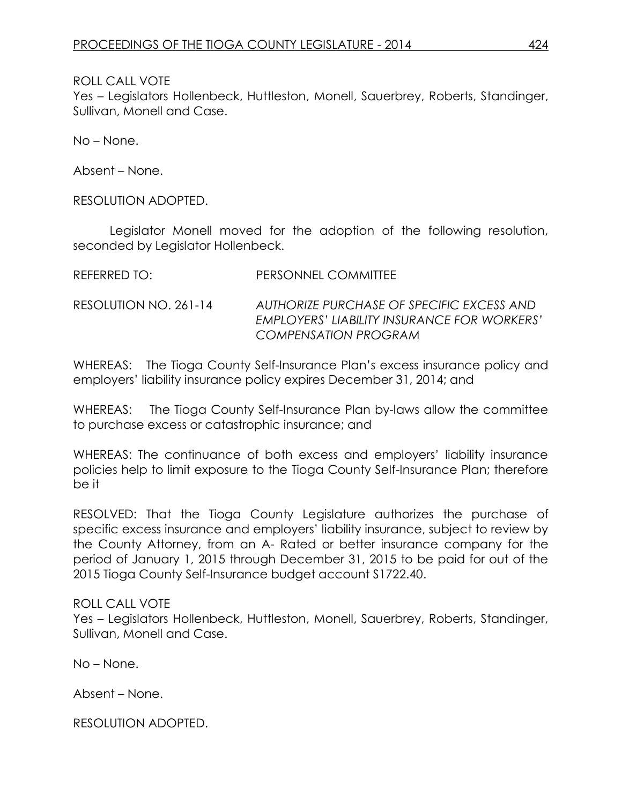Yes – Legislators Hollenbeck, Huttleston, Monell, Sauerbrey, Roberts, Standinger, Sullivan, Monell and Case.

No – None.

Absent – None.

RESOLUTION ADOPTED.

Legislator Monell moved for the adoption of the following resolution, seconded by Legislator Hollenbeck.

| <b>REFERRED TO:</b> | PERSONNEL COMMITTEE |
|---------------------|---------------------|

RESOLUTION NO. 261-14 *AUTHORIZE PURCHASE OF SPECIFIC EXCESS AND EMPLOYERS' LIABILITY INSURANCE FOR WORKERS' COMPENSATION PROGRAM*

WHEREAS: The Tioga County Self-Insurance Plan's excess insurance policy and employers' liability insurance policy expires December 31, 2014; and

WHEREAS: The Tioga County Self-Insurance Plan by-laws allow the committee to purchase excess or catastrophic insurance; and

WHEREAS: The continuance of both excess and employers' liability insurance policies help to limit exposure to the Tioga County Self-Insurance Plan; therefore be it

RESOLVED: That the Tioga County Legislature authorizes the purchase of specific excess insurance and employers' liability insurance, subject to review by the County Attorney, from an A- Rated or better insurance company for the period of January 1, 2015 through December 31, 2015 to be paid for out of the 2015 Tioga County Self-Insurance budget account S1722.40.

#### ROLL CALL VOTE

Yes – Legislators Hollenbeck, Huttleston, Monell, Sauerbrey, Roberts, Standinger, Sullivan, Monell and Case.

No – None.

Absent – None.

RESOLUTION ADOPTED.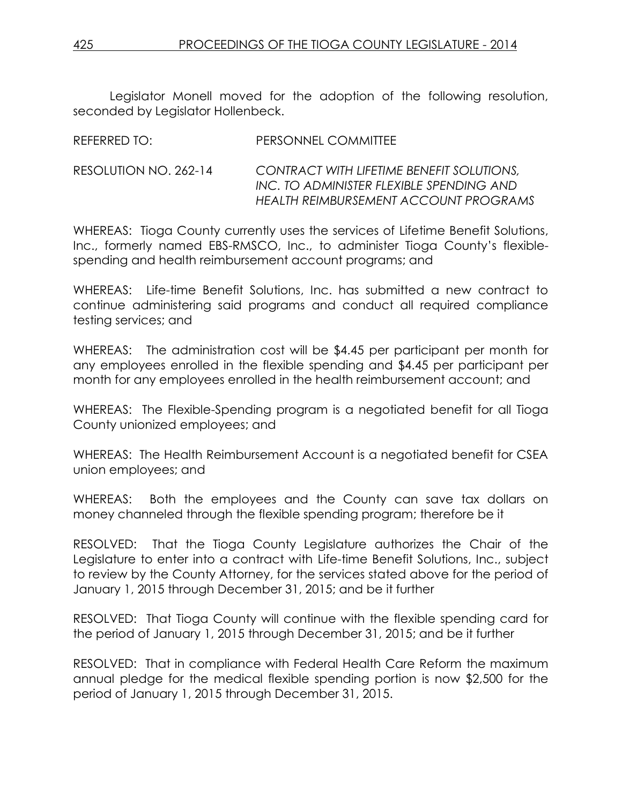Legislator Monell moved for the adoption of the following resolution, seconded by Legislator Hollenbeck.

| INLI LINNLU TU.       | T LIVJOHNINEL CONVIDUTEL                                                                                                       |
|-----------------------|--------------------------------------------------------------------------------------------------------------------------------|
| RESOLUTION NO. 262-14 | CONTRACT WITH LIFETIME BENEFIT SOLUTIONS,<br>INC. TO ADMINISTER FLEXIBLE SPENDING AND<br>HEALTH REIMBURSEMENT ACCOUNT PROGRAMS |
|                       |                                                                                                                                |

REFERRED TO: PERSONNEL COMMITTEE

WHEREAS: Tioga County currently uses the services of Lifetime Benefit Solutions, Inc., formerly named EBS-RMSCO, Inc., to administer Tioga County's flexiblespending and health reimbursement account programs; and

WHEREAS: Life-time Benefit Solutions, Inc. has submitted a new contract to continue administering said programs and conduct all required compliance testing services; and

WHEREAS: The administration cost will be \$4.45 per participant per month for any employees enrolled in the flexible spending and \$4.45 per participant per month for any employees enrolled in the health reimbursement account; and

WHEREAS: The Flexible-Spending program is a negotiated benefit for all Tioga County unionized employees; and

WHEREAS: The Health Reimbursement Account is a negotiated benefit for CSEA union employees; and

WHEREAS: Both the employees and the County can save tax dollars on money channeled through the flexible spending program; therefore be it

RESOLVED: That the Tioga County Legislature authorizes the Chair of the Legislature to enter into a contract with Life-time Benefit Solutions, Inc., subject to review by the County Attorney, for the services stated above for the period of January 1, 2015 through December 31, 2015; and be it further

RESOLVED: That Tioga County will continue with the flexible spending card for the period of January 1, 2015 through December 31, 2015; and be it further

RESOLVED: That in compliance with Federal Health Care Reform the maximum annual pledge for the medical flexible spending portion is now \$2,500 for the period of January 1, 2015 through December 31, 2015.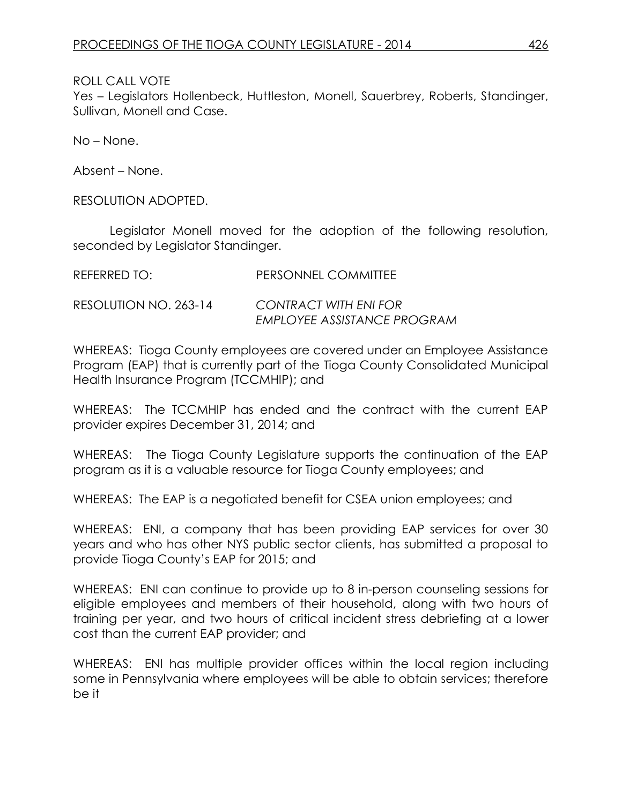Yes – Legislators Hollenbeck, Huttleston, Monell, Sauerbrey, Roberts, Standinger, Sullivan, Monell and Case.

No – None.

Absent – None.

RESOLUTION ADOPTED.

Legislator Monell moved for the adoption of the following resolution, seconded by Legislator Standinger.

| REFERRED TO:          | PERSONNEL COMMITTEE         |
|-----------------------|-----------------------------|
| RESOLUTION NO. 263-14 | CONTRACT WITH ENI FOR       |
|                       | EMPLOYEE ASSISTANCE PROGRAM |

WHEREAS: Tioga County employees are covered under an Employee Assistance Program (EAP) that is currently part of the Tioga County Consolidated Municipal Health Insurance Program (TCCMHIP); and

WHEREAS: The TCCMHIP has ended and the contract with the current EAP provider expires December 31, 2014; and

WHEREAS: The Tioga County Legislature supports the continuation of the EAP program as it is a valuable resource for Tioga County employees; and

WHEREAS: The EAP is a negotiated benefit for CSEA union employees; and

WHEREAS: ENI, a company that has been providing EAP services for over 30 years and who has other NYS public sector clients, has submitted a proposal to provide Tioga County's EAP for 2015; and

WHEREAS: ENI can continue to provide up to 8 in-person counseling sessions for eligible employees and members of their household, along with two hours of training per year, and two hours of critical incident stress debriefing at a lower cost than the current EAP provider; and

WHEREAS: ENI has multiple provider offices within the local region including some in Pennsylvania where employees will be able to obtain services; therefore be it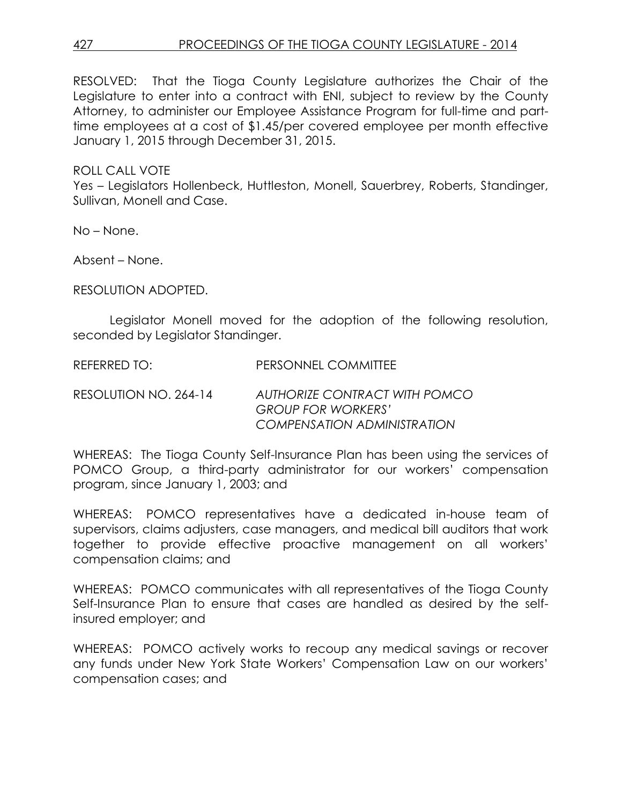RESOLVED: That the Tioga County Legislature authorizes the Chair of the Legislature to enter into a contract with ENI, subject to review by the County Attorney, to administer our Employee Assistance Program for full-time and parttime employees at a cost of \$1.45/per covered employee per month effective January 1, 2015 through December 31, 2015.

ROLL CALL VOTE

Yes – Legislators Hollenbeck, Huttleston, Monell, Sauerbrey, Roberts, Standinger, Sullivan, Monell and Case.

No – None.

Absent – None.

RESOLUTION ADOPTED.

Legislator Monell moved for the adoption of the following resolution, seconded by Legislator Standinger.

REFERRED TO: PERSONNEL COMMITTEE

RESOLUTION NO. 264-14 *AUTHORIZE CONTRACT WITH POMCO GROUP FOR WORKERS' COMPENSATION ADMINISTRATION*

WHEREAS: The Tioga County Self-Insurance Plan has been using the services of POMCO Group, a third-party administrator for our workers' compensation program, since January 1, 2003; and

WHEREAS: POMCO representatives have a dedicated in-house team of supervisors, claims adjusters, case managers, and medical bill auditors that work together to provide effective proactive management on all workers' compensation claims; and

WHEREAS: POMCO communicates with all representatives of the Tioga County Self-Insurance Plan to ensure that cases are handled as desired by the selfinsured employer; and

WHEREAS: POMCO actively works to recoup any medical savings or recover any funds under New York State Workers' Compensation Law on our workers' compensation cases; and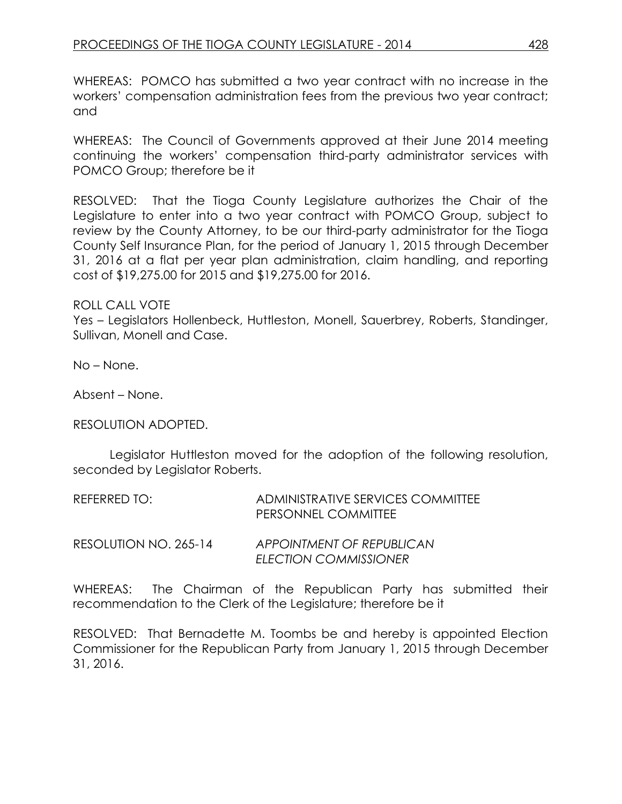WHEREAS: POMCO has submitted a two year contract with no increase in the workers' compensation administration fees from the previous two year contract; and

WHEREAS: The Council of Governments approved at their June 2014 meeting continuing the workers' compensation third-party administrator services with POMCO Group; therefore be it

RESOLVED: That the Tioga County Legislature authorizes the Chair of the Legislature to enter into a two year contract with POMCO Group, subject to review by the County Attorney, to be our third-party administrator for the Tioga County Self Insurance Plan, for the period of January 1, 2015 through December 31, 2016 at a flat per year plan administration, claim handling, and reporting cost of \$19,275.00 for 2015 and \$19,275.00 for 2016.

## ROLL CALL VOTE

Yes – Legislators Hollenbeck, Huttleston, Monell, Sauerbrey, Roberts, Standinger, Sullivan, Monell and Case.

No – None.

Absent – None.

## RESOLUTION ADOPTED.

Legislator Huttleston moved for the adoption of the following resolution, seconded by Legislator Roberts.

| REFERRED TO:          | ADMINISTRATIVE SERVICES COMMITTEE<br>PERSONNEL COMMITTEE |
|-----------------------|----------------------------------------------------------|
| RESOLUTION NO. 265-14 | APPOINTMENT OF REPUBLICAN<br>ELECTION COMMISSIONER       |

WHEREAS: The Chairman of the Republican Party has submitted their recommendation to the Clerk of the Legislature; therefore be it

RESOLVED: That Bernadette M. Toombs be and hereby is appointed Election Commissioner for the Republican Party from January 1, 2015 through December 31, 2016.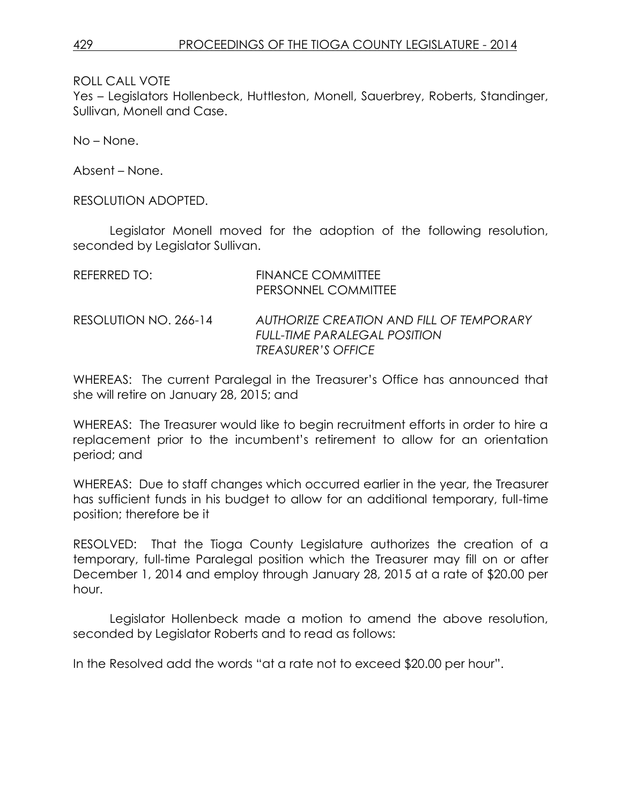Yes – Legislators Hollenbeck, Huttleston, Monell, Sauerbrey, Roberts, Standinger, Sullivan, Monell and Case.

No – None.

Absent – None.

RESOLUTION ADOPTED.

Legislator Monell moved for the adoption of the following resolution, seconded by Legislator Sullivan.

| REFERRED TO:          | FINANCE COMMITTEE<br>PERSONNEL COMMITTEE                                                              |
|-----------------------|-------------------------------------------------------------------------------------------------------|
| RESOLUTION NO. 266-14 | AUTHORIZE CREATION AND FILL OF TEMPORARY<br>FULL-TIME PARALEGAL POSITION<br><i>TREASURER'S OFFICE</i> |

WHEREAS: The current Paralegal in the Treasurer's Office has announced that she will retire on January 28, 2015; and

WHEREAS: The Treasurer would like to begin recruitment efforts in order to hire a replacement prior to the incumbent's retirement to allow for an orientation period; and

WHEREAS: Due to staff changes which occurred earlier in the year, the Treasurer has sufficient funds in his budget to allow for an additional temporary, full-time position; therefore be it

RESOLVED: That the Tioga County Legislature authorizes the creation of a temporary, full-time Paralegal position which the Treasurer may fill on or after December 1, 2014 and employ through January 28, 2015 at a rate of \$20.00 per hour.

Legislator Hollenbeck made a motion to amend the above resolution, seconded by Legislator Roberts and to read as follows:

In the Resolved add the words "at a rate not to exceed \$20.00 per hour".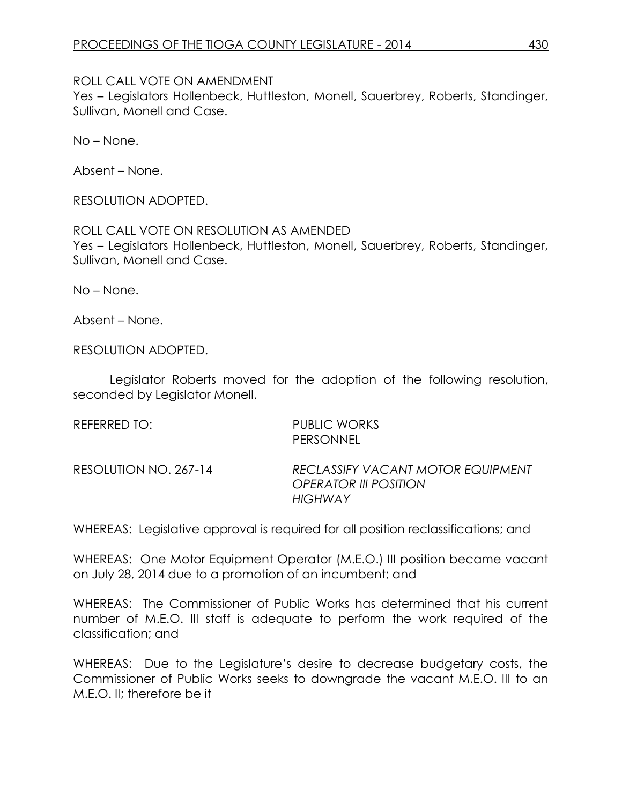## ROLL CALL VOTE ON AMENDMENT

Yes – Legislators Hollenbeck, Huttleston, Monell, Sauerbrey, Roberts, Standinger, Sullivan, Monell and Case.

No – None.

Absent – None.

RESOLUTION ADOPTED.

ROLL CALL VOTE ON RESOLUTION AS AMENDED Yes – Legislators Hollenbeck, Huttleston, Monell, Sauerbrey, Roberts, Standinger, Sullivan, Monell and Case.

No – None.

Absent – None.

RESOLUTION ADOPTED.

Legislator Roberts moved for the adoption of the following resolution, seconded by Legislator Monell.

| REFERRED TO:          | PUBLIC WORKS<br>PERSONNEL                                                    |
|-----------------------|------------------------------------------------------------------------------|
| RESOLUTION NO. 267-14 | RECLASSIFY VACANT MOTOR EQUIPMENT<br><b>OPERATOR III POSITION</b><br>HIGHWAY |

WHEREAS: Legislative approval is required for all position reclassifications; and

WHEREAS: One Motor Equipment Operator (M.E.O.) III position became vacant on July 28, 2014 due to a promotion of an incumbent; and

WHEREAS: The Commissioner of Public Works has determined that his current number of M.E.O. III staff is adequate to perform the work required of the classification; and

WHEREAS: Due to the Legislature's desire to decrease budgetary costs, the Commissioner of Public Works seeks to downgrade the vacant M.E.O. III to an M.E.O. II; therefore be it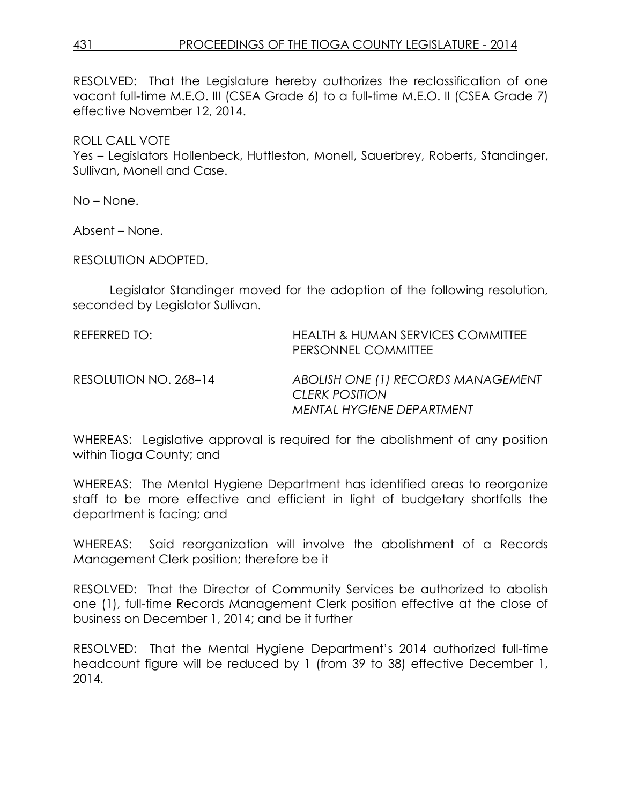RESOLVED: That the Legislature hereby authorizes the reclassification of one vacant full-time M.E.O. III (CSEA Grade 6) to a full-time M.E.O. II (CSEA Grade 7) effective November 12, 2014.

ROLL CALL VOTE

Yes – Legislators Hollenbeck, Huttleston, Monell, Sauerbrey, Roberts, Standinger, Sullivan, Monell and Case.

No – None.

Absent – None.

RESOLUTION ADOPTED.

Legislator Standinger moved for the adoption of the following resolution, seconded by Legislator Sullivan.

REFERRED TO: HEALTH & HUMAN SERVICES COMMITTEE PERSONNEL COMMITTEE RESOLUTION NO. 268–14 *ABOLISH ONE (1) RECORDS MANAGEMENT CLERK POSITION MENTAL HYGIENE DEPARTMENT*

WHEREAS: Legislative approval is required for the abolishment of any position within Tioga County; and

WHEREAS: The Mental Hygiene Department has identified areas to reorganize staff to be more effective and efficient in light of budgetary shortfalls the department is facing; and

WHEREAS: Said reorganization will involve the abolishment of a Records Management Clerk position; therefore be it

RESOLVED: That the Director of Community Services be authorized to abolish one (1), full-time Records Management Clerk position effective at the close of business on December 1, 2014; and be it further

RESOLVED: That the Mental Hygiene Department's 2014 authorized full-time headcount figure will be reduced by 1 (from 39 to 38) effective December 1, 2014.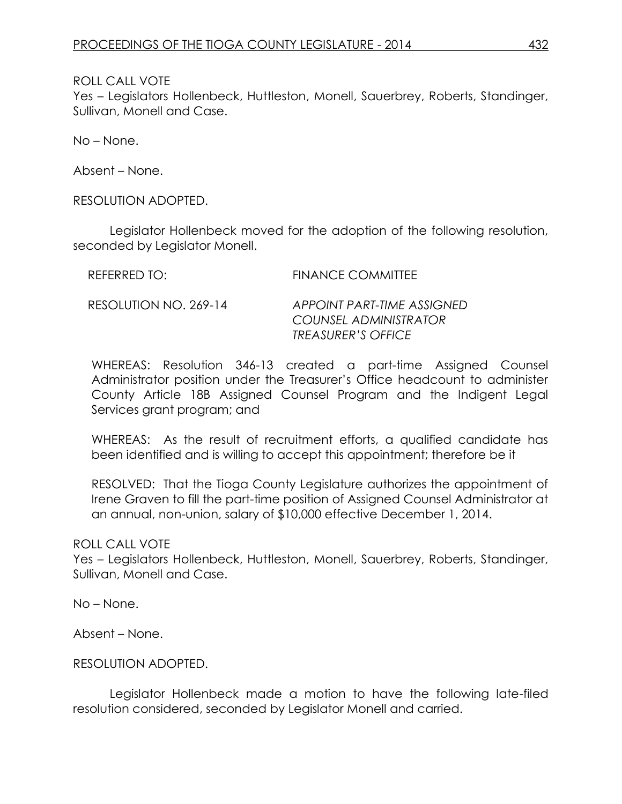Yes – Legislators Hollenbeck, Huttleston, Monell, Sauerbrey, Roberts, Standinger, Sullivan, Monell and Case.

No – None.

Absent – None.

RESOLUTION ADOPTED.

Legislator Hollenbeck moved for the adoption of the following resolution, seconded by Legislator Monell.

| REFERRED TO:          | <b>FINANCE COMMITTEE</b>                                                                |
|-----------------------|-----------------------------------------------------------------------------------------|
| RESOLUTION NO. 269-14 | <b>APPOINT PART-TIME ASSIGNED</b><br>COUNSEL ADMINISTRATOR<br><b>TREASURER'S OFFICE</b> |

WHEREAS: Resolution 346-13 created a part-time Assigned Counsel Administrator position under the Treasurer's Office headcount to administer County Article 18B Assigned Counsel Program and the Indigent Legal Services grant program; and

WHEREAS: As the result of recruitment efforts, a qualified candidate has been identified and is willing to accept this appointment; therefore be it

RESOLVED: That the Tioga County Legislature authorizes the appointment of Irene Graven to fill the part-time position of Assigned Counsel Administrator at an annual, non-union, salary of \$10,000 effective December 1, 2014.

ROLL CALL VOTE

Yes – Legislators Hollenbeck, Huttleston, Monell, Sauerbrey, Roberts, Standinger, Sullivan, Monell and Case.

No – None.

Absent – None.

RESOLUTION ADOPTED.

Legislator Hollenbeck made a motion to have the following late-filed resolution considered, seconded by Legislator Monell and carried.